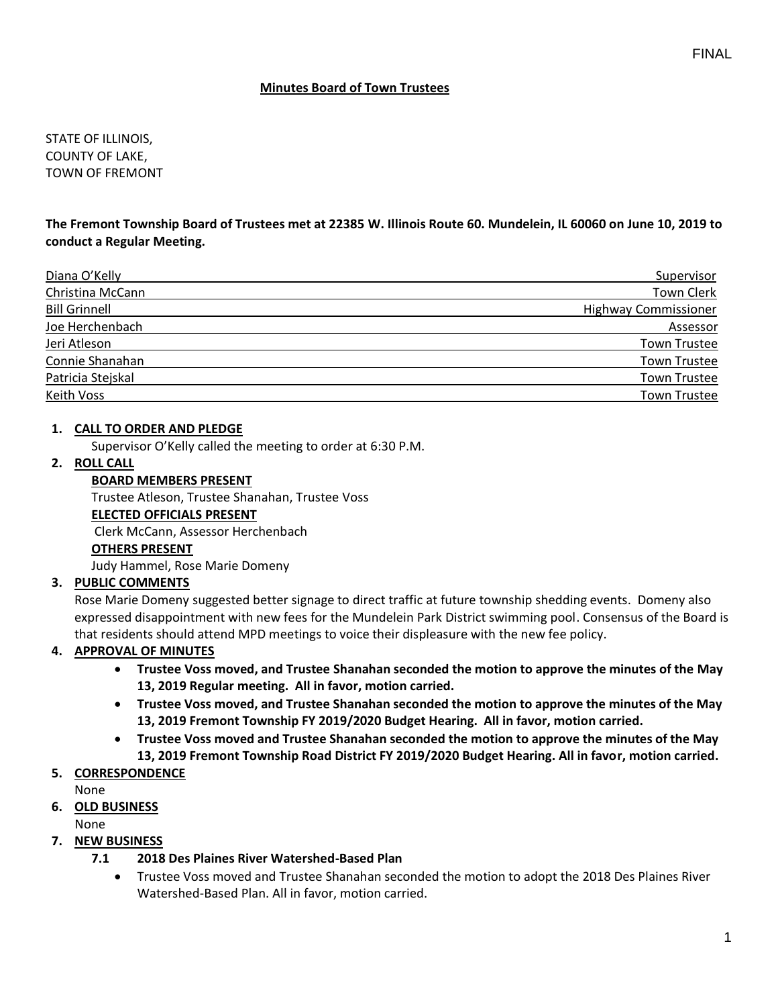STATE OF ILLINOIS, COUNTY OF LAKE, TOWN OF FREMONT

### **The Fremont Township Board of Trustees met at 22385 W. Illinois Route 60. Mundelein, IL 60060 on June 10, 2019 to conduct a Regular Meeting.**

| Diana O'Kelly        | Supervisor                  |
|----------------------|-----------------------------|
| Christina McCann     | <b>Town Clerk</b>           |
| <b>Bill Grinnell</b> | <b>Highway Commissioner</b> |
| Joe Herchenbach      | Assessor                    |
| Jeri Atleson         | <b>Town Trustee</b>         |
| Connie Shanahan      | <b>Town Trustee</b>         |
| Patricia Stejskal    | <b>Town Trustee</b>         |
| Keith Voss           | <b>Town Trustee</b>         |

### **1. CALL TO ORDER AND PLEDGE**

Supervisor O'Kelly called the meeting to order at 6:30 P.M.

#### **2. ROLL CALL**

**BOARD MEMBERS PRESENT** Trustee Atleson, Trustee Shanahan, Trustee Voss **ELECTED OFFICIALS PRESENT** Clerk McCann, Assessor Herchenbach **OTHERS PRESENT** Judy Hammel, Rose Marie Domeny

## **3. PUBLIC COMMENTS**

Rose Marie Domeny suggested better signage to direct traffic at future township shedding events. Domeny also expressed disappointment with new fees for the Mundelein Park District swimming pool. Consensus of the Board is that residents should attend MPD meetings to voice their displeasure with the new fee policy.

#### **4. APPROVAL OF MINUTES**

- **Trustee Voss moved, and Trustee Shanahan seconded the motion to approve the minutes of the May 13, 2019 Regular meeting. All in favor, motion carried.**
- **Trustee Voss moved, and Trustee Shanahan seconded the motion to approve the minutes of the May 13, 2019 Fremont Township FY 2019/2020 Budget Hearing. All in favor, motion carried.**
- **Trustee Voss moved and Trustee Shanahan seconded the motion to approve the minutes of the May 13, 2019 Fremont Township Road District FY 2019/2020 Budget Hearing. All in favor, motion carried.**

## **5. CORRESPONDENCE**

None

## **6. OLD BUSINESS**

None

## **7. NEW BUSINESS**

- **7.1 2018 Des Plaines River Watershed-Based Plan**
	- Trustee Voss moved and Trustee Shanahan seconded the motion to adopt the 2018 Des Plaines River Watershed-Based Plan. All in favor, motion carried.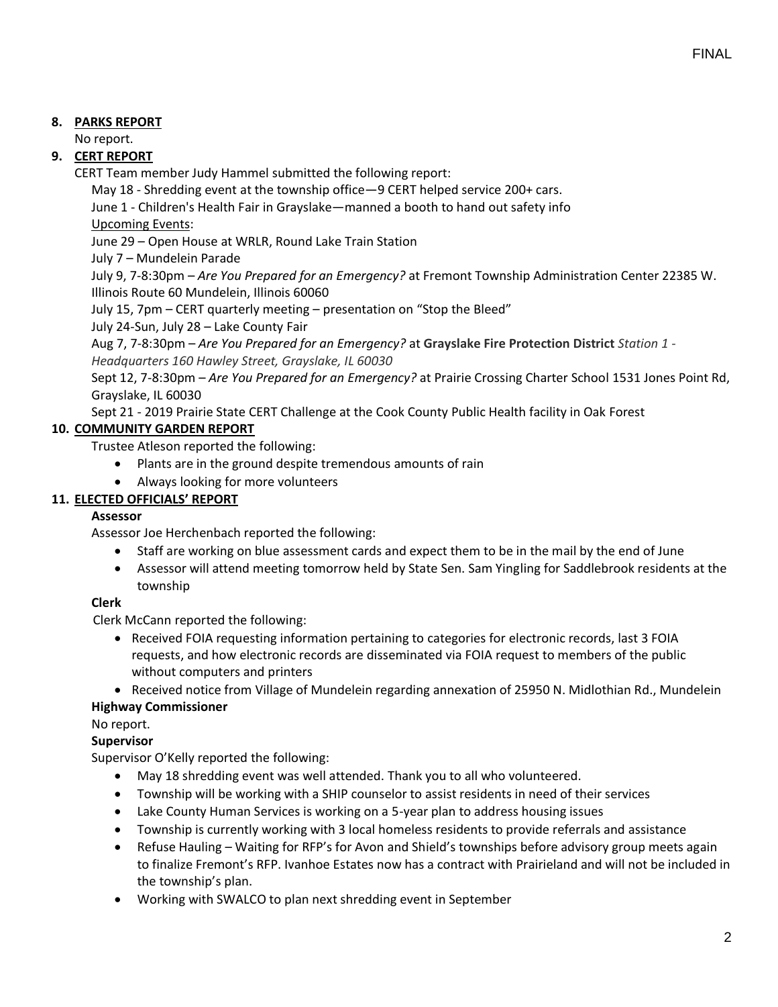## **8. PARKS REPORT**

No report.

## **9. CERT REPORT**

CERT Team member Judy Hammel submitted the following report:

May 18 - Shredding event at the township office—9 CERT helped service 200+ cars.

June 1 - Children's Health Fair in Grayslake—manned a booth to hand out safety info

Upcoming Events:

June 29 – Open House at WRLR, Round Lake Train Station

July 7 – Mundelein Parade

July 9, 7-8:30pm – *Are You Prepared for an Emergency?* at Fremont Township Administration Center 22385 W. Illinois Route 60 Mundelein, Illinois 60060

July 15, 7pm – CERT quarterly meeting – presentation on "Stop the Bleed"

July 24-Sun, July 28 – Lake County Fair

Aug 7, 7-8:30pm – *Are You Prepared for an Emergency?* at **Grayslake Fire Protection District** *Station 1 - Headquarters 160 Hawley Street, Grayslake, IL 60030*

Sept 12, 7-8:30pm – *Are You Prepared for an Emergency?* at Prairie Crossing Charter School 1531 Jones Point Rd, Grayslake, IL 60030

Sept 21 - 2019 Prairie State CERT Challenge at the Cook County Public Health facility in Oak Forest

# **10. COMMUNITY GARDEN REPORT**

Trustee Atleson reported the following:

- Plants are in the ground despite tremendous amounts of rain
- Always looking for more volunteers

# **11. ELECTED OFFICIALS' REPORT**

## **Assessor**

Assessor Joe Herchenbach reported the following:

- Staff are working on blue assessment cards and expect them to be in the mail by the end of June
- Assessor will attend meeting tomorrow held by State Sen. Sam Yingling for Saddlebrook residents at the township

## **Clerk**

Clerk McCann reported the following:

• Received FOIA requesting information pertaining to categories for electronic records, last 3 FOIA requests, and how electronic records are disseminated via FOIA request to members of the public without computers and printers

• Received notice from Village of Mundelein regarding annexation of 25950 N. Midlothian Rd., Mundelein

## **Highway Commissioner**

No report.

## **Supervisor**

Supervisor O'Kelly reported the following:

- May 18 shredding event was well attended. Thank you to all who volunteered.
- Township will be working with a SHIP counselor to assist residents in need of their services
- Lake County Human Services is working on a 5-year plan to address housing issues
- Township is currently working with 3 local homeless residents to provide referrals and assistance
- Refuse Hauling Waiting for RFP's for Avon and Shield's townships before advisory group meets again to finalize Fremont's RFP. Ivanhoe Estates now has a contract with Prairieland and will not be included in the township's plan.
- Working with SWALCO to plan next shredding event in September